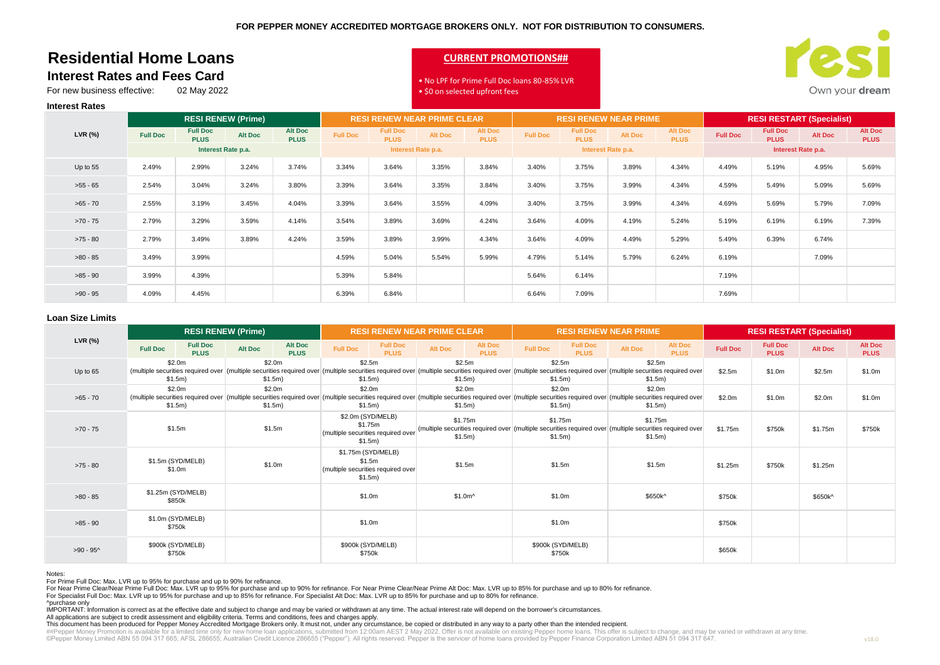# **Residential Home Loans Interest Rates and Fees Card**

# **CURRENT PROMOTIONS##**



For new business effective: 02 May 2022

## • No LPF for Prime Full Doc loans 80-85% LVR • \$0 on selected upfront fees

|            | <b>RESI RENEW (Prime)</b> |                                |         | <b>RESI RENEW NEAR PRIME CLEAR</b> |                 |                                | <b>RESI RENEW NEAR PRIME</b> |                               |                 |                                | <b>RESI RESTART (Specialist)</b> |                               |                 |                                |                |                               |
|------------|---------------------------|--------------------------------|---------|------------------------------------|-----------------|--------------------------------|------------------------------|-------------------------------|-----------------|--------------------------------|----------------------------------|-------------------------------|-----------------|--------------------------------|----------------|-------------------------------|
| LVR (%)    | <b>Full Doc</b>           | <b>Full Doc</b><br><b>PLUS</b> | Alt Doc | <b>Alt Doc</b><br><b>PLUS</b>      | <b>Full Doc</b> | <b>Full Doc</b><br><b>PLUS</b> | <b>Alt Doc</b>               | <b>Alt Doc</b><br><b>PLUS</b> | <b>Full Doc</b> | <b>Full Doc</b><br><b>PLUS</b> | <b>Alt Doc</b>                   | <b>Alt Doc</b><br><b>PLUS</b> | <b>Full Doc</b> | <b>Full Doc</b><br><b>PLUS</b> | <b>Alt Doc</b> | <b>Alt Doc</b><br><b>PLUS</b> |
|            | Interest Rate p.a.        |                                |         | Interest Rate p.a.                 |                 |                                | Interest Rate p.a.           |                               |                 | Interest Rate p.a.             |                                  |                               |                 |                                |                |                               |
| Up to 55   | 2.49%                     | 2.99%                          | 3.24%   | 3.74%                              | 3.34%           | 3.64%                          | 3.35%                        | 3.84%                         | 3.40%           | 3.75%                          | 3.89%                            | 4.34%                         | 4.49%           | 5.19%                          | 4.95%          | 5.69%                         |
| $>55 - 65$ | 2.54%                     | 3.04%                          | 3.24%   | 3.80%                              | 3.39%           | 3.64%                          | 3.35%                        | 3.84%                         | 3.40%           | 3.75%                          | 3.99%                            | 4.34%                         | 4.59%           | 5.49%                          | 5.09%          | 5.69%                         |
| $>65 - 70$ | 2.55%                     | 3.19%                          | 3.45%   | 4.04%                              | 3.39%           | 3.64%                          | 3.55%                        | 4.09%                         | 3.40%           | 3.75%                          | 3.99%                            | 4.34%                         | 4.69%           | 5.69%                          | 5.79%          | 7.09%                         |
| $>70 - 75$ | 2.79%                     | 3.29%                          | 3.59%   | 4.14%                              | 3.54%           | 3.89%                          | 3.69%                        | 4.24%                         | 3.64%           | 4.09%                          | 4.19%                            | 5.24%                         | 5.19%           | 6.19%                          | 6.19%          | 7.39%                         |
| $>75 - 80$ | 2.79%                     | 3.49%                          | 3.89%   | 4.24%                              | 3.59%           | 3.89%                          | 3.99%                        | 4.34%                         | 3.64%           | 4.09%                          | 4.49%                            | 5.29%                         | 5.49%           | 6.39%                          | 6.74%          |                               |
| $>80 - 85$ | 3.49%                     | 3.99%                          |         |                                    | 4.59%           | 5.04%                          | 5.54%                        | 5.99%                         | 4.79%           | 5.14%                          | 5.79%                            | 6.24%                         | 6.19%           |                                | 7.09%          |                               |
| $>85 - 90$ | 3.99%                     | 4.39%                          |         |                                    | 5.39%           | 5.84%                          |                              |                               | 5.64%           | 6.14%                          |                                  |                               | 7.19%           |                                |                |                               |
| $>90 - 95$ | 4.09%                     | 4.45%                          |         |                                    | 6.39%           | 6.84%                          |                              |                               | 6.64%           | 7.09%                          |                                  |                               | 7.69%           |                                |                |                               |

#### **Loan Size Limits**

**Interest Rates**

|            | <b>RESI RENEW (Prime)</b>                                                                                                                                                                                                                          |                                |                |                        | <b>RESI RENEW NEAR PRIME CLEAR</b>                                            |                                |                    |                               | <b>RESI RENEW NEAR PRIME</b>                                                                                                   |                                |                               |                               | <b>RESI RESTART (Specialist)</b> |                                |         |                               |
|------------|----------------------------------------------------------------------------------------------------------------------------------------------------------------------------------------------------------------------------------------------------|--------------------------------|----------------|------------------------|-------------------------------------------------------------------------------|--------------------------------|--------------------|-------------------------------|--------------------------------------------------------------------------------------------------------------------------------|--------------------------------|-------------------------------|-------------------------------|----------------------------------|--------------------------------|---------|-------------------------------|
| LVR (%)    | <b>Full Doc</b>                                                                                                                                                                                                                                    | <b>Full Doc</b><br><b>PLUS</b> | <b>Alt Doc</b> | Alt Doc<br><b>PLUS</b> | <b>Full Doc</b>                                                               | <b>Full Doc</b><br><b>PLUS</b> | Alt Doc            | <b>Alt Doc</b><br><b>PLUS</b> | <b>Full Doc</b>                                                                                                                | <b>Full Doc</b><br><b>PLUS</b> | Alt Doc                       | <b>Alt Doc</b><br><b>PLUS</b> | <b>Full Doc</b>                  | <b>Full Doc</b><br><b>PLUS</b> | Alt Doc | <b>Alt Doc</b><br><b>PLUS</b> |
| Up to 65   | \$2.0m<br>(multiple securities required over   (multiple securities required over   (multiple securities required over   (multiple securities required over   (multiple securities required over   (multiple securities required over  <br>\$1.5m) |                                |                | \$2.0m<br>\$1.5m)      | \$2.5m<br>\$1.5m)                                                             |                                | \$1.5m)            | \$2.5m                        | \$2.5m<br>\$1.5m)                                                                                                              |                                | \$2.5m<br>\$1.5m)             |                               | \$2.5m                           | \$1.0m                         | \$2.5m  | \$1.0m                        |
| $>65 - 70$ | \$2.0m<br>(multiple securities required over   (multiple securities required over   (multiple securities required over   (multiple securities required over   (multiple securities required over   (multiple securities required over  <br>\$1.5m) |                                |                | \$2.0m<br>\$1.5m)      | \$2.0m<br>\$1.5m)                                                             |                                | \$1.5m)            | \$2.0m                        | \$2.0m<br>\$1.5m)                                                                                                              |                                | \$2.0 <sub>m</sub><br>\$1.5m) |                               | \$2.0m                           | \$1.0m                         | \$2.0m  | \$1.0m                        |
| $>70 - 75$ | \$1.5m                                                                                                                                                                                                                                             |                                |                | \$1.5m                 | \$2.0m (SYD/MELB)<br>\$1.75m<br>(multiple securities required over<br>\$1.5m) |                                | \$1.75m<br>\$1.5m) |                               | \$1.75m<br>(multiple securities required over (multiple securities required over (multiple securities required over<br>\$1.5m) |                                | \$1.75m<br>\$1.5m)            |                               | \$1.75m                          | \$750k                         | \$1.75m | \$750k                        |
| $>75 - 80$ | \$1.5m (SYD/MELB)<br>\$1.0m                                                                                                                                                                                                                        |                                |                | \$1.0m                 | \$1.75m (SYD/MELB)<br>\$1.5m<br>(multiple securities required over<br>\$1.5m) |                                |                    | \$1.5m                        | \$1.5m                                                                                                                         |                                | \$1.5m                        |                               | \$1.25m                          | \$750k                         | \$1.25m |                               |
| $>80 - 85$ | \$1.25m (SYD/MELB)<br>\$850k                                                                                                                                                                                                                       |                                |                |                        | \$1.0m                                                                        |                                | $$1.0m^$           |                               | \$1.0m                                                                                                                         |                                | \$650k^                       |                               | \$750k                           |                                | \$650k^ |                               |
| $>85 - 90$ | \$1.0m (SYD/MELB)<br>\$750k                                                                                                                                                                                                                        |                                | \$1.0m         |                        |                                                                               |                                | \$1.0m             |                               |                                                                                                                                |                                | \$750k                        |                               |                                  |                                |         |                               |
| $>90 - 95$ | \$900k (SYD/MELB)<br>\$750k                                                                                                                                                                                                                        |                                |                |                        | \$900k (SYD/MELB)<br>\$750k                                                   |                                |                    |                               | \$900k (SYD/MELB)<br>\$750k                                                                                                    |                                |                               |                               | \$650k                           |                                |         |                               |

Notes:

For Prime Full Doc: Max. LVR up to 95% for purchase and up to 90% for refinance.

For Near Prime Clear/Near Prime Full Doc: Max. LVR up to 95% for purchase and up to 90% for refinance. For Near Prime Clear/Near Prime Alt Doc: Max. LVR up to 85% for purchase and up to 80% for refinance.<br>For Specialist Fu

^purchase only

IMPORTANT: Information is correct as at the effective date and subject to change and may be varied or withdrawn at any time. The actual interest rate will depend on the borrower's circumstances. All applications are subject to credit assessment and eligibility criteria. Terms and conditions, fees and charges apply.

This document has been produced for Pepper Money Accredited Mortgage Brokers only. It must not, under any circumstance, be copied or distributed in any way to a party other than the intended recipient.

©Pepper Money Limited ABN 55 094 317 665; AFSL 286655; Australian Credit Licence 286655 ("Pepper"). All rights reserved. Pepper is the servicer of home loans provided by Pepper Finance Corporation Limited ABN 51 094 317 647. ##Pepper Money Promotion is available for a limited time only for new home loan applications, submitted from 12:00am AEST 2 May 2022. Offer is not available on existing Pepper home loans. This offer is subject to change, a

v18.0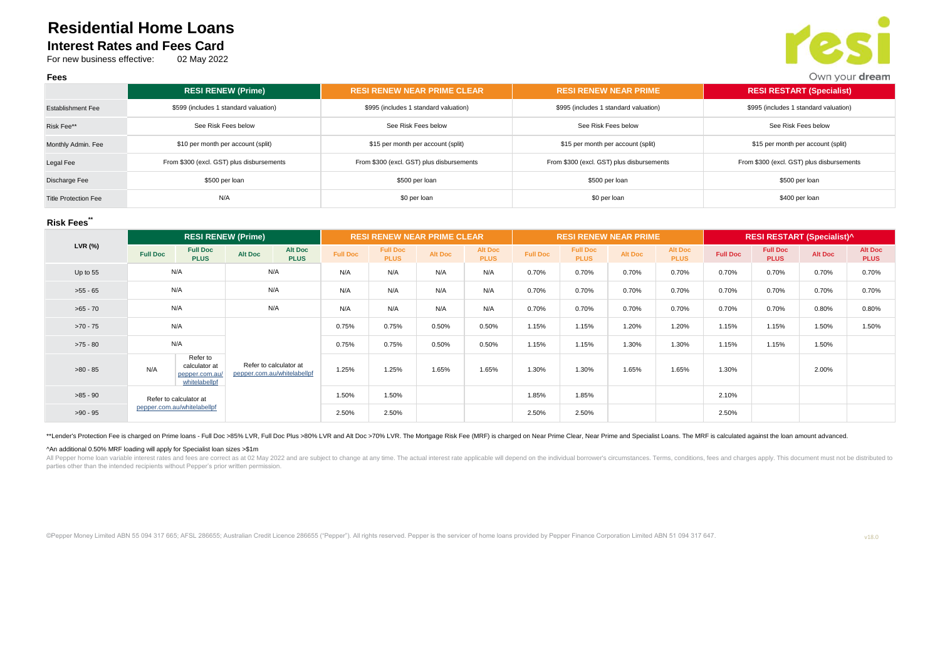# **Residential Home Loans Interest Rates and Fees Card**

For new business effective: 02 May 2022



|                             | <b>RESI RENEW (Prime)</b>                 | <b>RESI RENEW NEAR PRIME CLEAR</b>        | <b>RESI RENEW NEAR PRIME</b>              | <b>RESI RESTART (Specialist)</b>          |
|-----------------------------|-------------------------------------------|-------------------------------------------|-------------------------------------------|-------------------------------------------|
| <b>Establishment Fee</b>    | \$599 (includes 1 standard valuation)     | \$995 (includes 1 standard valuation)     | \$995 (includes 1 standard valuation)     | \$995 (includes 1 standard valuation)     |
| Risk Fee**                  | See Risk Fees below                       | See Risk Fees below                       | See Risk Fees below                       | See Risk Fees below                       |
| Monthly Admin. Fee          | \$10 per month per account (split)        | \$15 per month per account (split)        | \$15 per month per account (split)        | \$15 per month per account (split)        |
| Legal Fee                   | From \$300 (excl. GST) plus disbursements | From \$300 (excl. GST) plus disbursements | From \$300 (excl. GST) plus disbursements | From \$300 (excl. GST) plus disbursements |
| Discharge Fee               | \$500 per loan                            | \$500 per loan                            | \$500 per loan                            | \$500 per loan                            |
| <b>Title Protection Fee</b> | N/A                                       | \$0 per loan                              | \$0 per loan                              | \$400 per loan                            |

## **Risk Fees\*\***

**Fees**

|            |                                                       | <b>RESI RENEW (Prime)</b>                                    |         |                                                       |                 |                                | <b>RESI RENEW NEAR PRIME CLEAR</b> |                        |                 | <b>RESI RENEW NEAR PRIME</b>   |                |                               |                 | <b>RESI RESTART (Specialist)^</b> |                |                               |  |
|------------|-------------------------------------------------------|--------------------------------------------------------------|---------|-------------------------------------------------------|-----------------|--------------------------------|------------------------------------|------------------------|-----------------|--------------------------------|----------------|-------------------------------|-----------------|-----------------------------------|----------------|-------------------------------|--|
| LVR (%)    | <b>Full Doc</b>                                       | <b>Full Doc</b><br><b>PLUS</b>                               | Alt Doc | <b>Alt Doc</b><br><b>PLUS</b>                         | <b>Full Doc</b> | <b>Full Doc</b><br><b>PLUS</b> | <b>Alt Doc</b>                     | Alt Doc<br><b>PLUS</b> | <b>Full Doc</b> | <b>Full Doc</b><br><b>PLUS</b> | <b>Alt Doc</b> | <b>Alt Doc</b><br><b>PLUS</b> | <b>Full Doc</b> | <b>Full Doc</b><br><b>PLUS</b>    | <b>Alt Doc</b> | <b>Alt Doc</b><br><b>PLUS</b> |  |
| Up to 55   |                                                       | N/A                                                          |         | N/A                                                   | N/A             | N/A                            | N/A                                | N/A                    | 0.70%           | 0.70%                          | 0.70%          | 0.70%                         | 0.70%           | 0.70%                             | 0.70%          | 0.70%                         |  |
| $>55 - 65$ | N/A                                                   |                                                              | N/A     |                                                       | N/A             | N/A                            | N/A                                | N/A                    | 0.70%           | 0.70%                          | 0.70%          | 0.70%                         | 0.70%           | 0.70%                             | 0.70%          | 0.70%                         |  |
| $>65 - 70$ |                                                       | N/A                                                          |         | N/A                                                   | N/A             | N/A                            | N/A                                | N/A                    | 0.70%           | 0.70%                          | 0.70%          | 0.70%                         | 0.70%           | 0.70%                             | 0.80%          | 0.80%                         |  |
| $>70 - 75$ | N/A                                                   |                                                              |         |                                                       | 0.75%           | 0.75%                          | 0.50%                              | 0.50%                  | 1.15%           | 1.15%                          | 1.20%          | 1.20%                         | 1.15%           | 1.15%                             | 1.50%          | 1.50%                         |  |
| $>75 - 80$ | N/A                                                   |                                                              |         |                                                       | 0.75%           | 0.75%                          | 0.50%                              | 0.50%                  | 1.15%           | 1.15%                          | 1.30%          | 1.30%                         | 1.15%           | 1.15%                             | 1.50%          |                               |  |
| $>80 - 85$ | N/A                                                   | Refer to<br>calculator at<br>pepper.com.au/<br>whitelabellpf |         | Refer to calculator at<br>pepper.com.au/whitelabellpf |                 | 1.25%                          | 1.65%                              | 1.65%                  | 1.30%           | 1.30%                          | 1.65%          | 1.65%                         | 1.30%           |                                   | 2.00%          |                               |  |
| $>85 - 90$ | Refer to calculator at<br>pepper.com.au/whitelabellpf |                                                              |         |                                                       | 1.50%           | 1.50%                          |                                    |                        | 1.85%           | 1.85%                          |                |                               | 2.10%           |                                   |                |                               |  |
| $>90 - 95$ |                                                       |                                                              |         |                                                       | 2.50%           | 2.50%                          |                                    |                        | 2.50%           | 2.50%                          |                |                               | 2.50%           |                                   |                |                               |  |

\*\*Lender's Protection Fee is charged on Prime loans - Full Doc >85% LVR, Full Doc Plus >80% LVR and Alt Doc >70% LVR. The Mortgage Risk Fee (MRF) is charged on Near Prime Clear, Near Prime and Specialist Loans. The MRF is

#### ^An additional 0.50% MRF loading will apply for Specialist loan sizes >\$1m

All Pepper home loan variable interest rates and fees are correct as at 02 May 2022 and are subject to change at any time. The actual interest rate applicable will depend on the individual borrower's circumstances. Terms, parties other than the intended recipients without Pepper's prior written permission.

©Pepper Money Limited ABN 55 094 317 665; AFSL 286655; Australian Credit Licence 286655 ("Pepper"). All rights reserved. Pepper is the servicer of home loans provided by Pepper Finance Corporation Limited ABN 51 094 317 647.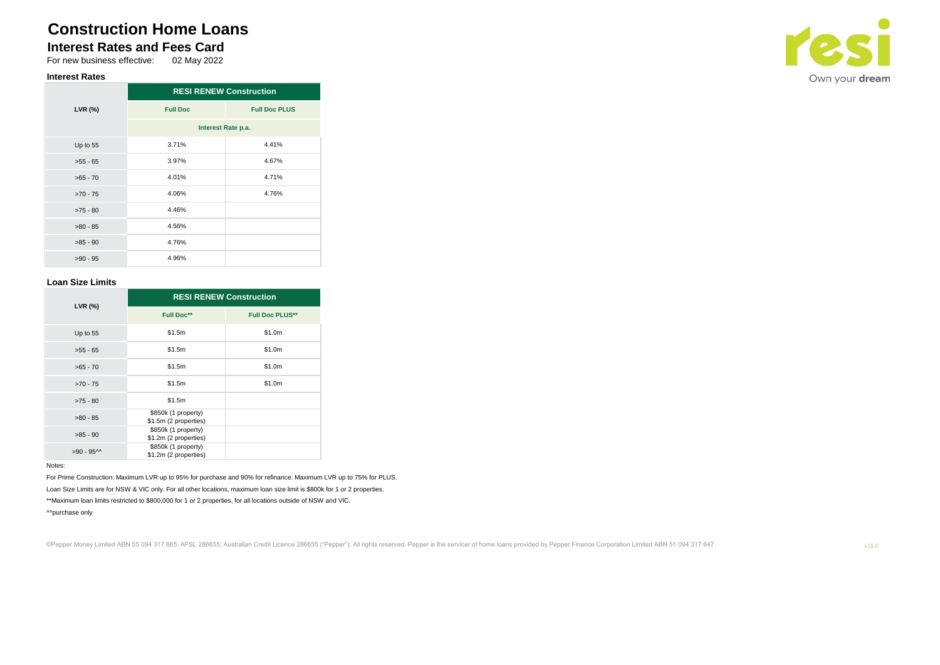# **Construction Home Loans**

# **Interest Rates and Fees Card**<br>For new business effective: 02 May 2022

For new business effective:

# **Interest Rates**

|            | <b>RESI RENEW Construction</b> |                      |  |  |  |  |
|------------|--------------------------------|----------------------|--|--|--|--|
| LVR (%)    | <b>Full Doc</b>                | <b>Full Doc PLUS</b> |  |  |  |  |
|            | Interest Rate p.a.             |                      |  |  |  |  |
| Up to 55   | 3.71%                          | 4.41%                |  |  |  |  |
| $>55 - 65$ | 3.97%                          | 4.67%                |  |  |  |  |
| $>65 - 70$ | 4.01%                          | 4.71%                |  |  |  |  |
| $>70 - 75$ | 4.06%                          | 4.76%                |  |  |  |  |
| $>75 - 80$ | 4.46%                          |                      |  |  |  |  |
| $>80 - 85$ | 4.56%                          |                      |  |  |  |  |
| $>85 - 90$ | 4.76%                          |                      |  |  |  |  |
| $>90 - 95$ | 4.96%                          |                      |  |  |  |  |

### **Loan Size Limits**

| LVR (%)    | <b>RESI RENEW Construction</b>               |                        |  |  |  |  |  |
|------------|----------------------------------------------|------------------------|--|--|--|--|--|
|            | <b>Full Doc**</b>                            | <b>Full Doc PLUS**</b> |  |  |  |  |  |
| Up to 55   | \$1.5m                                       | \$1.0m                 |  |  |  |  |  |
| $>55 - 65$ | \$1.5m                                       | \$1.0m                 |  |  |  |  |  |
| $>65 - 70$ | \$1.5m                                       | \$1.0m                 |  |  |  |  |  |
| $>70 - 75$ | \$1.5m                                       | \$1.0m                 |  |  |  |  |  |
| $>75 - 80$ | \$1.5m                                       |                        |  |  |  |  |  |
| $>80 - 85$ | \$850k (1 property)<br>\$1.5m (2 properties) |                        |  |  |  |  |  |
| $>85 - 90$ | \$850k (1 property)<br>\$1.2m (2 properties) |                        |  |  |  |  |  |
| $>90 - 95$ | \$850k (1 property)<br>\$1.2m (2 properties) |                        |  |  |  |  |  |

### Notes:

For Prime Construction: Maximum LVR up to 95% for purchase and 90% for refinance. Maximum LVR up to 75% for PLUS. Loan Size Limits are for NSW & VIC only. For all other locations, maximum loan size limit is \$800k for 1 or 2 properties. \*\*Maximum loan limits restricted to \$800,000 for 1 or 2 properties, for all locations outside of NSW and VIC.

^^purchase only